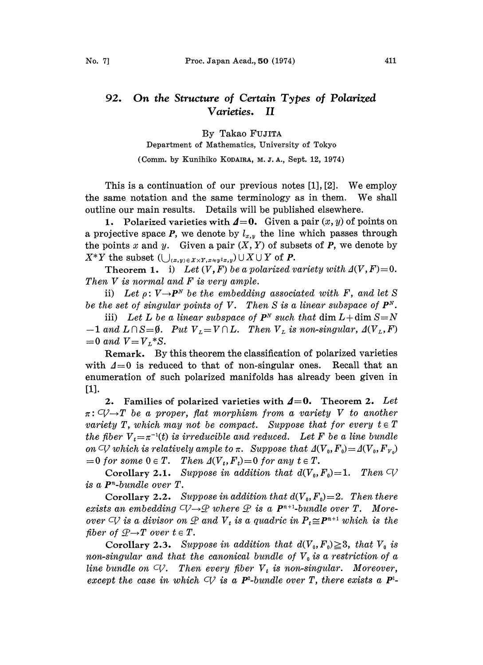## 92. On the Structure of Certain Types of Polarized<br>Varieties. II Varieties.

By Takao FUJITA

Department of Mathematics, University of Tokyo

(Comm. by Kunihiko KODAIRA, M. J. A., Sept. 12, 1974)

This is <sup>a</sup> continuation of our previous notes [1], [2]. We employ the same notation and the same terminology as in them. We shall outline our main results. Details will be published elsewhere.

1. Polarized varieties with  $\mathbf{A}=\mathbf{0}$ . Given a pair  $(x, y)$  of points on a projective space P, we denote by  $l_{x,y}$  the line which passes through the points x and y. Given a pair  $(X, Y)$  of subsets of P, we denote by  $X^*Y$  the subset  $(\bigcup_{(x,y)\in X\times Y, x\neq y^lx,y})\cup X\cup Y$  of **P.** 

Theorem 1. i) Let  $(V, F)$  be a polarized variety with  $\Delta(V, F)=0$ . Then V is normal and F is very ample.

ivers normal and r is very amplie.<br>
ii) Let  $\rho: V \rightarrow P^N$  be the embedding associated with F, and let S be the set of singular points of V. Then S is a linear subspace of  $P^N$ .

iii) Let L be a linear subspace of  $P^N$  such that dim  $L+\dim S=N$  $-1$  and  $L \cap S = \emptyset$ . Put  $V_L = V \cap L$ . Then  $V_L$  is non-singular,  $\Delta(V_L, F)$  $=0$  and  $V=V_L^*S$ .

Remark. By this theorem the classification of polarized varieties with  $\Delta=0$  is reduced to that of non-singular ones. Recall that an enumeration of such polarized manifolds has already been given in [1].

2. Families of polarized varieties with  $\mathbf{\Delta}=0$ . Theorem 2. Let r" c(?T be <sup>a</sup> proper, fiat morphism from <sup>a</sup> variety V to another variety T, which may not be compact. Suppose that for every  $t \in T$ the fiber  $V_t=\pi^{-1}(t)$  is irreducible and reduced. Let F be a line bundle on  $\mathcal Q$  which is relatively ample to  $\pi$ . Suppose that  $\Delta(V_0, F_0) = \Delta(V_0, F_{V_0})$  $=0$  for some  $0 \in T$ . Then  $\Delta(V_t, F_t)=0$  for any  $t \in T$ .

Corollary 2.1. Suppose in addition that  $d(V_0, F_0) = 1$ . Then  $\bigcirc \mathcal{C}$ is a P"-bundle over T.

Corollary 2.2. Suppose in addition that  $d(V_0, F_0) = 2$ . Then there exists an embedding  $\bigcirc \rightarrow \mathcal{P}$  where  $\mathcal{P}$  is a  $\mathbf{P}^{n+1}$ -bundle over T. Moreover  $\subset\hspace{-0.9pt} V$  is a divisor on  $\mathcal P$  and  $V_t$  is a quadric in  $P_t\!\cong\! \bm{P}^{n+1}$  which is the exists an embedding  $\bigcirc\bigcirc$ <br>over  $\bigcirc\bigcirc$  is a divisor on  $\mathfrak{A}$ <br>fiber of  $\mathfrak{B}\rightarrow$  T over  $t \in T$ .<br>Corollary 2.3 Sup

Corollary 2.3. Suppose in addition that  $d(V_0, F_0) \geq 3$ , that  $V_0$  is non-singular and that the canonical bundle of  $V_0$  is a restriction of a line bundle on  $\varphi$ . Then every fiber  $V_t$  is non-singular. Moreover, except the case in which  $\bigcirc$  is a **P**<sup>2</sup>-bundle over T, there exists a **P**<sup>1</sup>-